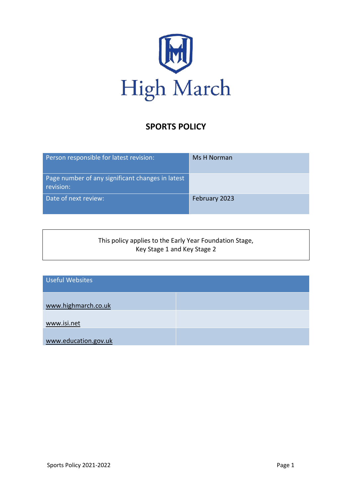

# **SPORTS POLICY**

| Person responsible for latest revision:                       | Ms H Norman   |
|---------------------------------------------------------------|---------------|
| Page number of any significant changes in latest<br>revision: |               |
| Date of next review:                                          | February 2023 |

#### This policy applies to the Early Year Foundation Stage, Key Stage 1 and Key Stage 2

| <b>Useful Websites</b> |  |
|------------------------|--|
| www.highmarch.co.uk    |  |
| www.isi.net            |  |
| www.education.gov.uk   |  |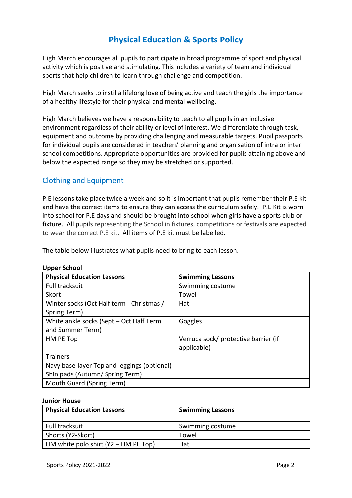# **Physical Education & Sports Policy**

High March encourages all pupils to participate in broad programme of sport and physical activity which is positive and stimulating. This includes a variety of team and individual sports that help children to learn through challenge and competition.

High March seeks to instil a lifelong love of being active and teach the girls the importance of a healthy lifestyle for their physical and mental wellbeing.

High March believes we have a responsibility to teach to all pupils in an inclusive environment regardless of their ability or level of interest. We differentiate through task, equipment and outcome by providing challenging and measurable targets. Pupil passports for individual pupils are considered in teachers' planning and organisation of intra or inter school competitions. Appropriate opportunities are provided for pupils attaining above and below the expected range so they may be stretched or supported.

## Clothing and Equipment

P.E lessons take place twice a week and so it is important that pupils remember their P.E kit and have the correct items to ensure they can access the curriculum safely. P.E Kit is worn into school for P.E days and should be brought into school when girls have a sports club or fixture. All pupils representing the School in fixtures, competitions or festivals are expected to wear the correct P.E kit. All items of P.E kit must be labelled.

The table below illustrates what pupils need to bring to each lesson.

| <b>Physical Education Lessons</b>           | <b>Swimming Lessons</b>              |
|---------------------------------------------|--------------------------------------|
| Full tracksuit                              | Swimming costume                     |
| Skort                                       | Towel                                |
| Winter socks (Oct Half term - Christmas /   | Hat                                  |
| Spring Term)                                |                                      |
| White ankle socks (Sept - Oct Half Term     | Goggles                              |
| and Summer Term)                            |                                      |
| HM PE Top                                   | Verruca sock/ protective barrier (if |
|                                             | applicable)                          |
| <b>Trainers</b>                             |                                      |
| Navy base-layer Top and leggings (optional) |                                      |
| Shin pads (Autumn/ Spring Term)             |                                      |
| Mouth Guard (Spring Term)                   |                                      |

#### **Upper School**

#### **Junior House**

| <b>Physical Education Lessons</b>    | <b>Swimming Lessons</b> |
|--------------------------------------|-------------------------|
| Full tracksuit                       | Swimming costume        |
| Shorts (Y2-Skort)                    | Towel                   |
| HM white polo shirt (Y2 - HM PE Top) | Hat                     |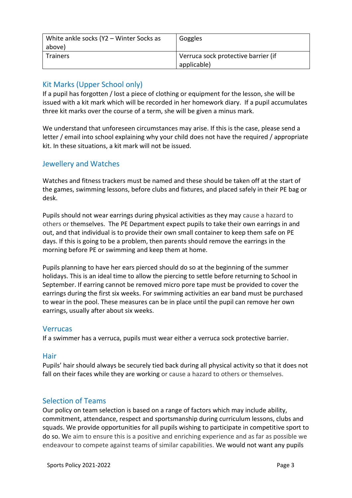| White ankle socks (Y2 - Winter Socks as<br>above) | Goggles                             |
|---------------------------------------------------|-------------------------------------|
| <b>Trainers</b>                                   | Verruca sock protective barrier (if |
|                                                   | applicable)                         |

## Kit Marks (Upper School only)

If a pupil has forgotten / lost a piece of clothing or equipment for the lesson, she will be issued with a kit mark which will be recorded in her homework diary. If a pupil accumulates three kit marks over the course of a term, she will be given a minus mark.

We understand that unforeseen circumstances may arise. If this is the case, please send a letter / email into school explaining why your child does not have the required / appropriate kit. In these situations, a kit mark will not be issued.

### Jewellery and Watches

Watches and fitness trackers must be named and these should be taken off at the start of the games, swimming lessons, before clubs and fixtures, and placed safely in their PE bag or desk.

Pupils should not wear earrings during physical activities as they may cause a hazard to others or themselves. The PE Department expect pupils to take their own earrings in and out, and that individual is to provide their own small container to keep them safe on PE days. If this is going to be a problem, then parents should remove the earrings in the morning before PE or swimming and keep them at home.

Pupils planning to have her ears pierced should do so at the beginning of the summer holidays. This is an ideal time to allow the piercing to settle before returning to School in September. If earring cannot be removed micro pore tape must be provided to cover the earrings during the first six weeks. For swimming activities an ear band must be purchased to wear in the pool. These measures can be in place until the pupil can remove her own earrings, usually after about six weeks.

#### Verrucas

If a swimmer has a verruca, pupils must wear either a verruca sock protective barrier.

#### **Hair**

Pupils' hair should always be securely tied back during all physical activity so that it does not fall on their faces while they are working or cause a hazard to others or themselves.

### Selection of Teams

Our policy on team selection is based on a range of factors which may include ability, commitment, attendance, respect and sportsmanship during curriculum lessons, clubs and squads. We provide opportunities for all pupils wishing to participate in competitive sport to do so. We aim to ensure this is a positive and enriching experience and as far as possible we endeavour to compete against teams of similar capabilities. We would not want any pupils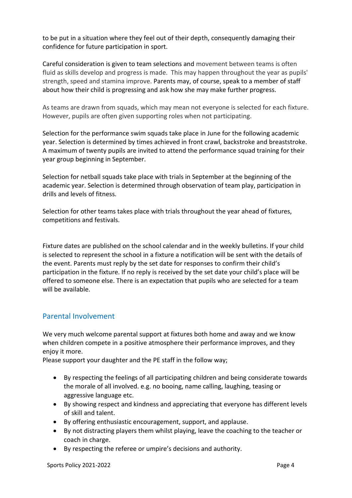to be put in a situation where they feel out of their depth, consequently damaging their confidence for future participation in sport.

Careful consideration is given to team selections and movement between teams is often fluid as skills develop and progress is made. This may happen throughout the year as pupils' strength, speed and stamina improve. Parents may, of course, speak to a member of staff about how their child is progressing and ask how she may make further progress.

As teams are drawn from squads, which may mean not everyone is selected for each fixture. However, pupils are often given supporting roles when not participating.

Selection for the performance swim squads take place in June for the following academic year. Selection is determined by times achieved in front crawl, backstroke and breaststroke. A maximum of twenty pupils are invited to attend the performance squad training for their year group beginning in September.

Selection for netball squads take place with trials in September at the beginning of the academic year. Selection is determined through observation of team play, participation in drills and levels of fitness.

Selection for other teams takes place with trials throughout the year ahead of fixtures, competitions and festivals.

Fixture dates are published on the school calendar and in the weekly bulletins. If your child is selected to represent the school in a fixture a notification will be sent with the details of the event. Parents must reply by the set date for responses to confirm their child's participation in the fixture. If no reply is received by the set date your child's place will be offered to someone else. There is an expectation that pupils who are selected for a team will be available.

# Parental Involvement

We very much welcome parental support at fixtures both home and away and we know when children compete in a positive atmosphere their performance improves, and they enjoy it more.

Please support your daughter and the PE staff in the follow way;

- By respecting the feelings of all participating children and being considerate towards the morale of all involved. e.g. no booing, name calling, laughing, teasing or aggressive language etc.
- By showing respect and kindness and appreciating that everyone has different levels of skill and talent.
- By offering enthusiastic encouragement, support, and applause.
- By not distracting players them whilst playing, leave the coaching to the teacher or coach in charge.
- By respecting the referee or umpire's decisions and authority.